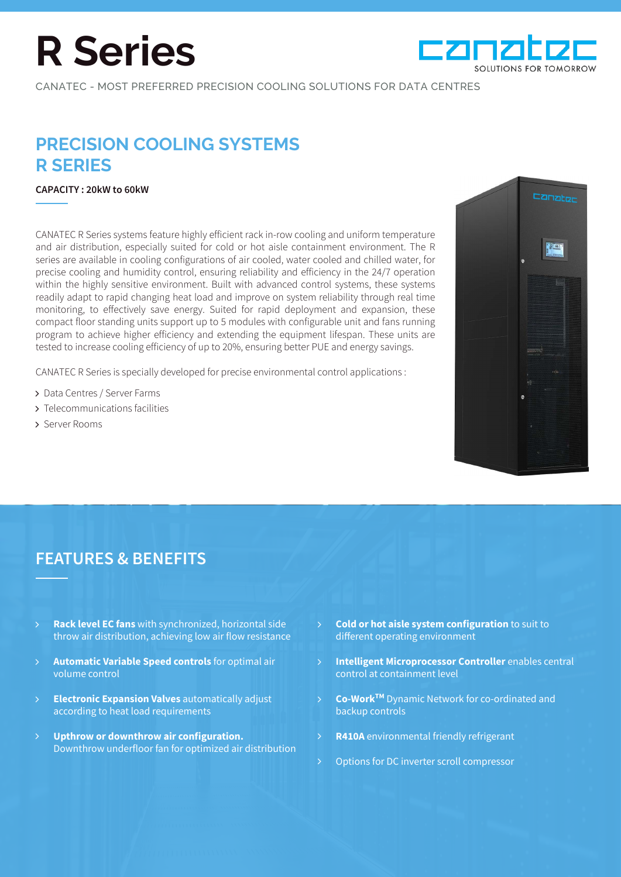# **R Series**



CANATEC - MOST PREFERRED PRECISION COOLING SOLUTIONS FOR DATA CENTRES

## **PRECISION COOLING SYSTEMS R SERIES**

#### **CAPACITY : 20kW to 60kW**

CANATEC R Series systems feature highly efficient rack in-row cooling and uniform temperature and air distribution, especially suited for cold or hot aisle containment environment. The R series are available in cooling configurations of air cooled, water cooled and chilled water, for precise cooling and humidity control, ensuring reliability and efficiency in the 24/7 operation within the highly sensitive environment. Built with advanced control systems, these systems readily adapt to rapid changing heat load and improve on system reliability through real time monitoring, to effectively save energy. Suited for rapid deployment and expansion, these compact floor standing units support up to 5 modules with configurable unit and fans running program to achieve higher efficiency and extending the equipment lifespan. These units are tested to increase cooling efficiency of up to 20%, ensuring better PUE and energy savings.

CANATEC R Series is specially developed for precise environmental control applications :

- > Data Centres / Server Farms
- Telecommunications facilities
- > Server Rooms



## **FEATURES & BENEFITS**

- **Rack level EC fans** with synchronized, horizontal side throw air distribution, achieving low air flow resistance
- **Automatic Variable Speed controls** for optimal air volume control
- **Electronic Expansion Valves** automatically adjust according to heat load requirements  $\mathsf{P}$
- **Upthrow or downthrow air configuration.**  Downthrow underfloor fan for optimized air distribution  $\mathsf{P}$
- **Cold or hot aisle system configuration** to suit to different operating environment
- **Intelligent Microprocessor Controller** enables central control at containment level
- **Co-WorkTM** Dynamic Network for co-ordinated and backup controls
- **R410A** environmental friendly refrigerant
- Options for DC inverter scroll compressor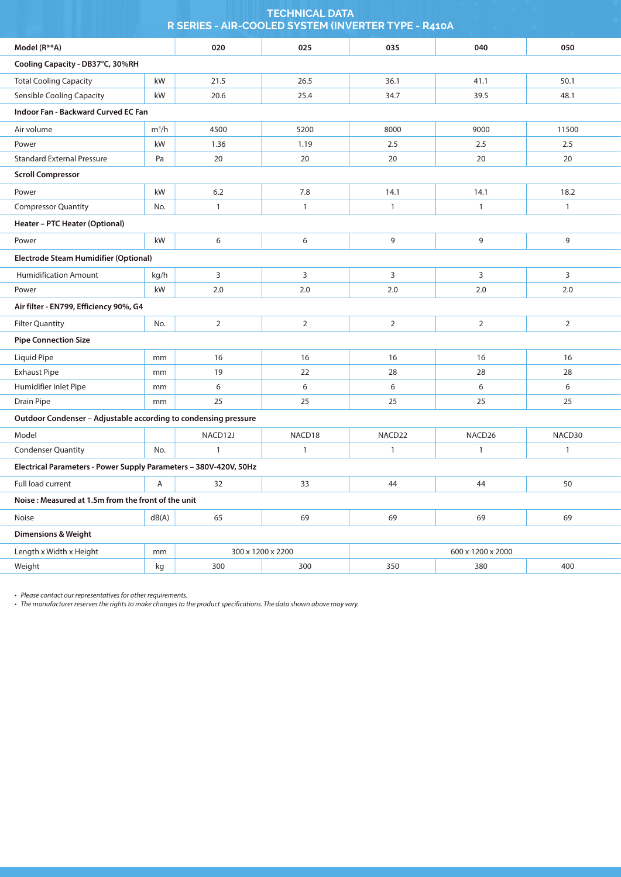| <b>TECHNICAL DATA</b><br>R SERIES - AIR-COOLED SYSTEM (INVERTER TYPE - R410A |            |              |      |      |      |              |  |  |  |
|------------------------------------------------------------------------------|------------|--------------|------|------|------|--------------|--|--|--|
| Model (R**A)                                                                 |            | 020          | 025  | 035  | 040  | 050          |  |  |  |
| Cooling Capacity - DB37°C, 30%RH                                             |            |              |      |      |      |              |  |  |  |
| <b>Total Cooling Capacity</b>                                                | kW         | 21.5         | 26.5 | 36.1 | 41.1 | 50.1         |  |  |  |
| <b>Sensible Cooling Capacity</b>                                             | kW         | 20.6         | 25.4 | 34.7 | 39.5 | 48.1         |  |  |  |
| Indoor Fan - Backward Curved EC Fan                                          |            |              |      |      |      |              |  |  |  |
| Air volume                                                                   | $m^3/h$    | 4500         | 5200 | 8000 | 9000 | 11500        |  |  |  |
| Power                                                                        | kW<br>1.36 |              | 1.19 | 2.5  | 2.5  | 2.5          |  |  |  |
| <b>Standard External Pressure</b><br>Pa                                      |            | 20           | 20   | 20   | 20   | 20           |  |  |  |
| <b>Scroll Compressor</b>                                                     |            |              |      |      |      |              |  |  |  |
| Power                                                                        | kW         | 6.2          | 7.8  | 14.1 | 14.1 | 18.2         |  |  |  |
| <b>Compressor Quantity</b><br>No.                                            |            | $\mathbf{1}$ | 1    | 1    | 1    | $\mathbf{1}$ |  |  |  |
| Heater - PTC Heater (Optional)                                               |            |              |      |      |      |              |  |  |  |
| Power                                                                        | kW         | 6            | 6    | 9    | 9    | 9            |  |  |  |
| Electrode Steam Humidifier (Optional)                                        |            |              |      |      |      |              |  |  |  |
| <b>Humidification Amount</b>                                                 | kg/h       | 3            | 3    | 3    | 3    | 3            |  |  |  |
| Power                                                                        | kW         | 2.0          | 2.0  | 2.0  | 2.0  | 2.0          |  |  |  |
| Air filter - EN799, Efficiency 90%, G4                                       |            |              |      |      |      |              |  |  |  |

| Liquid Pipe                                                       | mm  | 16      | 16                 | 16                 | 16                 | 16     |  |  |  |
|-------------------------------------------------------------------|-----|---------|--------------------|--------------------|--------------------|--------|--|--|--|
| <b>Exhaust Pipe</b>                                               | mm  | 19      | 22                 | 28                 | 28                 | 28     |  |  |  |
| Humidifier Inlet Pipe                                             | mm  | 6       | 6                  | 6                  |                    | 6      |  |  |  |
| Drain Pipe                                                        | mm  | 25      | 25                 | 25                 | 25                 | 25     |  |  |  |
| Outdoor Condenser - Adjustable according to condensing pressure   |     |         |                    |                    |                    |        |  |  |  |
| Model                                                             |     | NACD12J | NACD <sub>18</sub> | NACD <sub>22</sub> | NACD <sub>26</sub> | NACD30 |  |  |  |
| <b>Condenser Quantity</b>                                         | No. |         |                    |                    |                    |        |  |  |  |
| Electrical Parameters - Power Supply Parameters - 380V-420V, 50Hz |     |         |                    |                    |                    |        |  |  |  |
| Full load current<br>32<br>A                                      |     |         | 33                 | 44                 | 44                 | 50     |  |  |  |
| Noise: Measured at 1.5m from the front of the unit                |     |         |                    |                    |                    |        |  |  |  |
| <b>Noise</b>                                                      | 65  | 69      | 69                 | 69                 |                    |        |  |  |  |
| <b>Dimensions &amp; Weight</b>                                    |     |         |                    |                    |                    |        |  |  |  |

2

2

No.

2

2

2

| onr<br>Heinhi<br>\\\\~\+ | mm  | 300 | ንንበበ<br>200 | 2000<br>60C<br>200 |     |     |  |
|--------------------------|-----|-----|-------------|--------------------|-----|-----|--|
| Weiaht                   | 7.O | 300 | 300         |                    | 380 | 400 |  |

*• Please contact our representatives for other requirements.*

Filter Quantity

**Pipe Connection Size**

*• The manufacturer reserves the rights to make changes to the product specifications. The data shown above may vary.*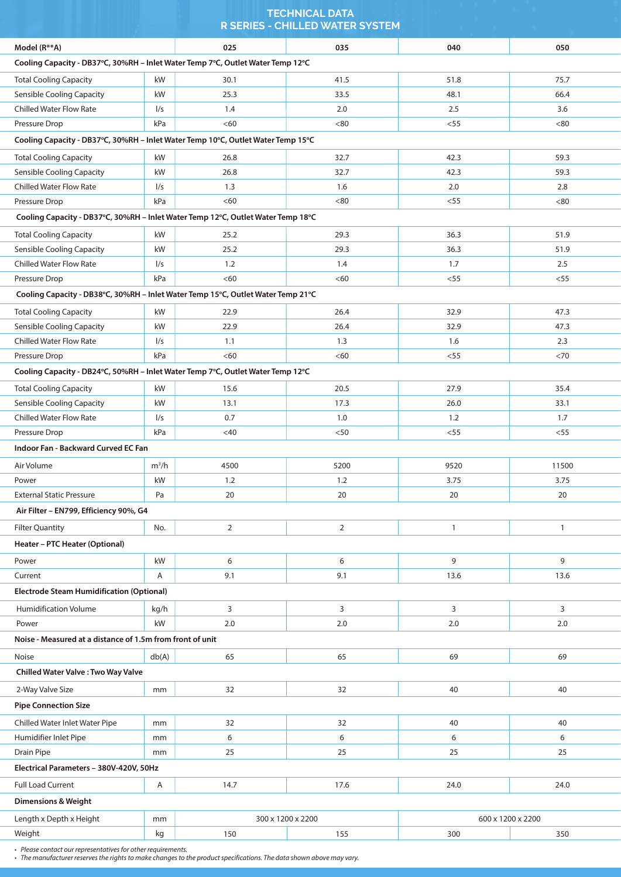|                                                                                  |          |                | <b>R SERIES - CHILLED WATER SYSTEM</b> |        |                   |  |
|----------------------------------------------------------------------------------|----------|----------------|----------------------------------------|--------|-------------------|--|
| Model (R**A)                                                                     |          | 025            | 035                                    | 040    | 050               |  |
| Cooling Capacity - DB37°C, 30%RH - Inlet Water Temp 7°C, Outlet Water Temp 12°C  |          |                |                                        |        |                   |  |
| <b>Total Cooling Capacity</b>                                                    | kW       | 30.1           | 41.5                                   | 51.8   | 75.7              |  |
| <b>Sensible Cooling Capacity</b>                                                 | kW       | 25.3           | 33.5                                   | 48.1   | 66.4              |  |
| <b>Chilled Water Flow Rate</b>                                                   | 1/s      | 1.4            | 2.0                                    | 2.5    | 3.6               |  |
| Pressure Drop                                                                    | kPa      | < 60           | < 80                                   | $<$ 55 | <80               |  |
| Cooling Capacity - DB37°C, 30%RH - Inlet Water Temp 10°C, Outlet Water Temp 15°C |          |                |                                        |        |                   |  |
| <b>Total Cooling Capacity</b>                                                    | kW       | 26.8           | 32.7                                   | 42.3   | 59.3              |  |
| <b>Sensible Cooling Capacity</b>                                                 | kW       | 26.8           | 32.7                                   | 42.3   | 59.3              |  |
| <b>Chilled Water Flow Rate</b>                                                   | 1/s      | 1.3            | 1.6                                    | 2.0    | 2.8               |  |
| Pressure Drop                                                                    | kPa      | <60            | < 80                                   | $<$ 55 | <80               |  |
| Cooling Capacity - DB37°C, 30%RH - Inlet Water Temp 12°C, Outlet Water Temp 18°C |          |                |                                        |        |                   |  |
| <b>Total Cooling Capacity</b>                                                    | kW       | 25.2           | 29.3                                   | 36.3   | 51.9              |  |
| <b>Sensible Cooling Capacity</b>                                                 | kW       | 25.2           | 29.3                                   | 36.3   | 51.9              |  |
| <b>Chilled Water Flow Rate</b>                                                   | 1/s      | 1.2            | 1.4                                    | 1.7    | 2.5               |  |
| Pressure Drop                                                                    | kPa      | <60            | < 60                                   | < 55   | $<$ 55            |  |
| Cooling Capacity - DB38°C, 30%RH - Inlet Water Temp 15°C, Outlet Water Temp 21°C |          |                |                                        |        |                   |  |
| <b>Total Cooling Capacity</b>                                                    | kW       | 22.9           | 26.4                                   | 32.9   | 47.3              |  |
| <b>Sensible Cooling Capacity</b>                                                 | kW       | 22.9           | 26.4                                   | 32.9   | 47.3              |  |
| <b>Chilled Water Flow Rate</b>                                                   | 1/s      | 1.1            | 1.3                                    | 1.6    | 2.3               |  |
| Pressure Drop                                                                    | kPa      | < 60           | < 60                                   | $<55$  | $<$ 70            |  |
| Cooling Capacity - DB24°C, 50%RH - Inlet Water Temp 7°C, Outlet Water Temp 12°C  |          |                |                                        |        |                   |  |
| <b>Total Cooling Capacity</b>                                                    | kW       | 15.6           | 20.5                                   | 27.9   | 35.4              |  |
| <b>Sensible Cooling Capacity</b>                                                 | kW       | 13.1           | 17.3                                   | 26.0   | 33.1              |  |
| <b>Chilled Water Flow Rate</b>                                                   | 1/s      | 0.7            | 1.0                                    | 1.2    | 1.7               |  |
| Pressure Drop                                                                    | kPa      | $<$ 40         | $50$                                   | < 55   | < 55              |  |
| <b>Indoor Fan - Backward Curved EC Fan</b>                                       |          |                |                                        |        |                   |  |
| Air Volume                                                                       | $m^3/h$  | 4500           | 5200                                   | 9520   | 11500             |  |
| Power                                                                            | kW       | 1.2            | 1.2                                    | 3.75   | 3.75              |  |
| <b>External Static Pressure</b>                                                  | Pa       | 20             | 20                                     | 20     | 20                |  |
| Air Filter - EN799, Efficiency 90%, G4                                           |          |                |                                        |        |                   |  |
| <b>Filter Quantity</b>                                                           | No.      | $\overline{2}$ | $\overline{2}$                         | 1      | $\mathbf{1}$      |  |
| Heater - PTC Heater (Optional)                                                   |          |                |                                        |        |                   |  |
| Power                                                                            | kW       | 6              | 6                                      | 9      | 9                 |  |
| Current                                                                          | Α        | 9.1            | 9.1                                    | 13.6   | 13.6              |  |
| <b>Electrode Steam Humidification (Optional)</b>                                 |          |                |                                        |        |                   |  |
| <b>Humidification Volume</b>                                                     | kg/h     | 3              | 3                                      | 3      | 3                 |  |
| Power                                                                            | kW       | 2.0            | 2.0                                    | 2.0    | 2.0               |  |
| Noise - Measured at a distance of 1.5m from front of unit                        |          |                |                                        |        |                   |  |
| Noise                                                                            | db(A)    | 65             | 65                                     | 69     | 69                |  |
| Chilled Water Valve: Two Way Valve                                               |          |                |                                        |        |                   |  |
| 2-Way Valve Size                                                                 | mm       | 32             | 32                                     | 40     | 40                |  |
| <b>Pipe Connection Size</b>                                                      |          |                |                                        |        |                   |  |
| Chilled Water Inlet Water Pipe                                                   | mm       | 32             | 32                                     | 40     | 40                |  |
| Humidifier Inlet Pipe                                                            | mm       | 6              | 6                                      | 6      | 6                 |  |
| Drain Pipe                                                                       | mm       | 25             | 25                                     | 25     | 25                |  |
| Electrical Parameters - 380V-420V, 50Hz                                          |          |                |                                        |        |                   |  |
| <b>Full Load Current</b>                                                         | Α        | 14.7           | 17.6                                   | 24.0   | 24.0              |  |
| <b>Dimensions &amp; Weight</b>                                                   |          |                |                                        |        |                   |  |
|                                                                                  |          |                | 300 x 1200 x 2200                      |        | 600 x 1200 x 2200 |  |
| Length x Depth x Height<br>Weight                                                | mm<br>kg | 150            | 155                                    | 300    | 350               |  |
|                                                                                  |          |                |                                        |        |                   |  |

**TECHNICAL DATA** 

*• Please contact our representatives for other requirements.*

*• The manufacturer reserves the rights to make changes to the product specifications. The data shown above may vary.*